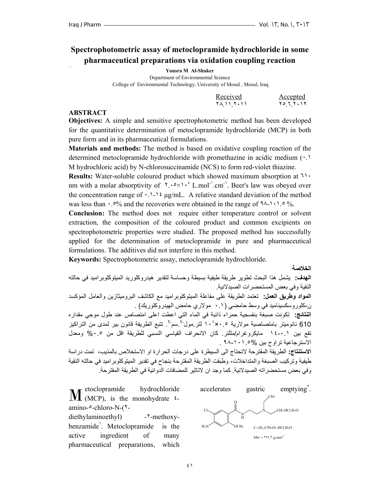## **Spectrophotometric assay of metoclopramide hydrochloride in some pharmaceutical preparations via oxidation coupling reaction**

**Yousra M Al-Shaker** 

Department of Environmental Science College of Environmental Technology, University of Mosul , Mosul, Iraq

| Received   | Accepted   |
|------------|------------|
| 78 11 7.11 | ۲۰۱۲ ۲۰ تا |

#### **ABSTRACT**

**Objectives:** A simple and sensitive spectrophotometric method has been developed for the quantitative determination of metoclopramide hydrochloride (MCP) in both pure form and in its pharmaceutical formulations.

**Materials and methods:** The method is based on oxidative coupling reaction of the determined metoclopramide hydrochloride with promethazine in acidic medium (٠.١ M hydrochloric acid) by N-chlorosuccinamide (NCS) to form red-violet thiazine.

**Results:** Water-soluble coloured product which showed maximum absorption at ٦١٠ nm with a molar absorptivity of  $\lambda \cdot \infty$ ,  $\lambda \cdot \in \text{L}$  mol<sup>-1</sup>. Beer's law was obeyed over the concentration range of  $\cdot$ .  $\cdot$  1. 1. 4  $\mu$ g/mL. A relative standard deviation of the method was less than  $\cdot$ .<sup>0</sup>% and the recoveries were obtained in the range of  $9\lambda$ -1.1.0 %.

**Conclusion:** The method does not require either temperature control or solvent extraction, the composition of the coloured product and common excipients on spectrophotometric properties were studied. The proposed method has successfully applied for the determination of metoclopramide in pure and pharmaceutical formulations. The additives did not interfere in this method.

**Keywords:** Spectrophotometric assay, metoclopramide hydrochloride.

**الخلاصة**

**الهدف:** يشمل هذا البحث تطوير طريقة طيفية بسيطة وحساسة لتقدير هيدروآلوريد الميتوآلوبراميد في حالته النقية وفي بعض المستحضرات الصيدلانية. **المواد وطريق العمل:** تعتمد الطريقة على مفاعلة الميتوآلوبراميد مع الكاشف البروميثازين والعامل المؤآسد ن-آلوروسكسيناميد في وسط حامضي (٠.١ مولاري حامض الهيدروآلوريك) . **النتائج:** تكونت صبغة بنفسجية حمراء ذائبة في الماء التي اعطت اعلى امتصاص عند طول موجي مقداره 610 نانوميتر بامتصاصية مولارية محكما 10 لتر مول<sup>1</sup> سم<sup>1</sup>. تتبع الطريقة قانون بير لمدى من التراكيز تقع بين ١: --١٤ مايكروغرام/مللتر. كان الانحراف القياسي النسبي للطريقة اقل من ٠.٥% ومعدل الاسترجاعية تراوح بين ٩٨-١٠١.٥% .

**الاستنتاج:** الطريقة المقترحة لاتحتاج الى السيطرة على درجات الحرارة او الاستخلاص بالمذيب، تمت دراسة طيفية وتركيب الصبغة والمتداخلات، وطبقت الطريقة المقترحة بنجاح في تقدير الميتوكلوبراميد في حالته النقية وفي بعض مستحضراته الصيدلانية. آما وجد ان لاتاثير للمضافات الدوائية في الطريقة المقترحة.

retoclopramide hydrochloride amino-٥-chloro-N-(٢ diethylaminoethyl) -٢-methoxybenzamide<sup>'</sup>. Metoclopramide is the active ingredient of many pharmaceutical preparations, which

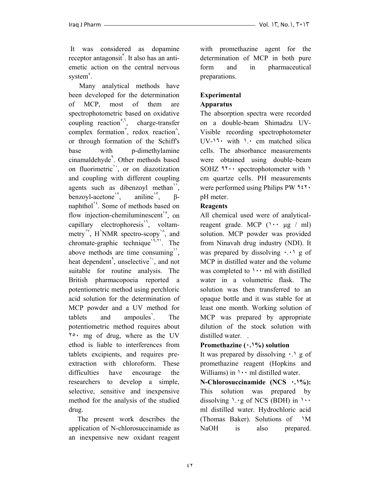It was considered as dopamine receptor antagonsit". It also has an antiemetic action on the central nervous system<sup>\*</sup>.

 Many analytical methods have been developed for the determination of MCP, most of them are spectrophotometric based on oxidative coupling reaction<sup> $\hat{S}$ </sup>, charge-transfer complex formation<sup> $\check{ }$ </sup>, redox reaction $\hat{ }$ , or through formation of the Schiff's base with p-dimethylamine cinamaldehyde<sup>4</sup>. Other methods based on fluorimetric<sup>1</sup>, or on diazotization and coupling with different coupling agents such as dibenzoyl methan<sup>1</sup>, benzoyl-acetone<sup>11</sup>, aniline<sup>1</sup>,  $\beta$ naphthol<sup> $1<sup>2</sup>$ . Some of methods based on</sup> flow injection-chemiluminescent<sup>1°</sup>, on capillary electrophoresis<sup>11</sup>, voltammetry<sup>1</sup>, H<sup>'</sup>NMR spectro-scopy<sup>1</sup><sup> $\lambda$ </sup>, and chromate-graphic technique $\sqrt{3-r}$ . The above methods are time consuming<sup>1</sup>, heat dependent<sup>4</sup>, unselective<sup>1</sup>, and not suitable for routine analysis. The British pharmacopoeia reported a potentiometric method using perchloric acid solution for the determination of MCP powder and a UV method for  $t_{\text{ablets}}$  and ampoules<sup>'</sup>. . The potentiometric method requires about ٢٥٠ mg of drug, where as the UV ethod is liable to interferences from tablets excipients, and requires preextraction with chloroform. These difficulties have encourage the researchers to develop a simple, selective, sensitive and inexpensive method for the analysis of the studied drug.

 The present work describes the application of N-chlorosuccinamide as an inexpensive new oxidant reagent with promethazine agent for the determination of MCP in both pure form and in pharmaceutical preparations.

# **Experimental**

## **Apparatus**

The absorption spectra were recorded on a double-beam Shimadzu UV-Visible recording spectrophotometer UV-١٦٠ with ١.٠ cm matched silica cells. The absorbance measurements were obtained using double–beam SOHZ ٩٢٠٠ spectrophotometer with ١ cm quartze cells. PH measurements were performed using Philips PW ٩٤٢٠ pH meter.

### **Reagents**

All chemical used were of analyticalreagent grade. MCP  $(1 \cdot \cdot \mu g / m!)$ solution. MCP powder was provided from Ninavah drug industry (NDI). It was prepared by dissolving  $\cdot \cdot$  g of MCP in distilled water and the volume was completed to  $\cdots$  ml with distilled water in a volumetric flask. The solution was then transferred to an opaque bottle and it was stable for at least one month. Working solution of MCP was prepared by appropriate dilution of the stock solution with distilled water...

#### **Promethazine (٠.١%) solution**

It was prepared by dissolving ٠.١ g of promethazine reagent (Hopkins and Williams) in  $\cdots$  ml distilled water.

**N-Chlorosuccinamide (NCS ٠.١%):**  This solution was prepared by dissolving  $\cdot \cdot$ g of NCS (BDH) in  $\cdot \cdot$ ml distilled water. Hydrochloric acid (Thomas Baker). Solutions of ١M NaOH is also prepared.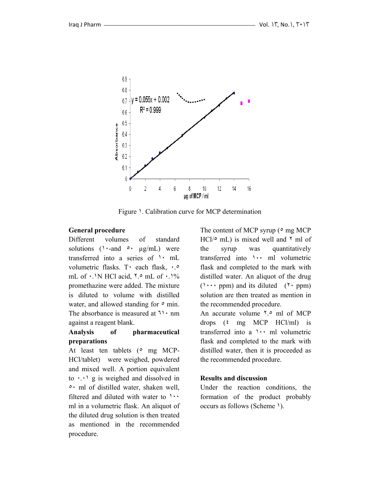

Figure 1. Calibration curve for MCP determination

#### General procedure

Different volu solutions  $($  \  $\cdot$  - and  $\circ \cdot$  µg/mL) were transferred into a series of ' mL volum metric flask s. T٠ each flask, ٠.٥ mL of  $\cdot$  N HCl acid,  $\frac{1}{2}$  mL of  $\cdot$   $\frac{1}{6}$ promethazine were added. The mixture is diluted to volume with distilled water, and allowed standing for  $\circ$  min. The absorbance is measured at  $\mathbb{1} \cdot \text{nm}$ against a reagent blank. volumes of standard

#### **Anal lysis of prep arations f pharm maceutical**

At least ten tablets (° mg MCP-HCl/tablet) were weighed, powdered and m mixed well. A portion equivalent to  $\cdots$  g is weighed and dissolved in • ml of distilled water, shaken well, filtered and diluted with water to  $\cdots$ ml in a volumetric flask. An aliquot of the diluted drug solution is then treated as mentioned in the recommended procedure.

The content of MCP syrup ( $\circ$  mg MCP  $HC1/\circ$  mL) is mixed well and  $\frac{\gamma}{\sigma}$  ml of the transferred into **\** \ \ \ ml volumetric flask and completed to the mark with distilled water. An aliquot of the drug  $($ ' $\cdots$  ppm) and its diluted  $($ ' $\cdots$  ppm) solution are then treated as mention in the rec commended d procedure. syrup was was quantitatively

An accurate volume '.° ml of MCP drops  $(\text{£} \text{mg} \text{MCP} \text{HCl/ml})$  is transferred into a  $\cdots$  ml volumetric flask and completed to the mark with distilled water, then it is proceeded as the rec commended d procedure.

#### **Results and discussion**

Under the reaction conditions, the formation of the product probably occurs s as follows (Scheme ١) .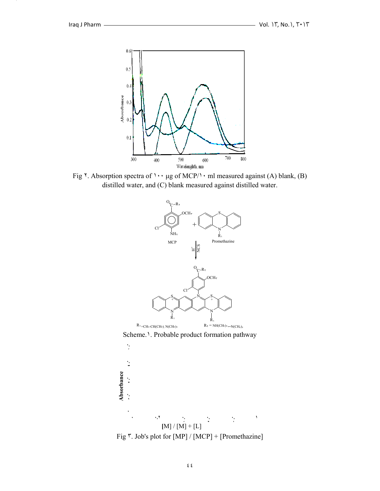-9



Fig  $\check{\ }$ . Absorption spectra of  $\check{\ } \check{\ }$  ug of MCP/ $\check{\ }$  ml measured against (A) blank, (B) distilled water, and (C) blank measured against distilled water.



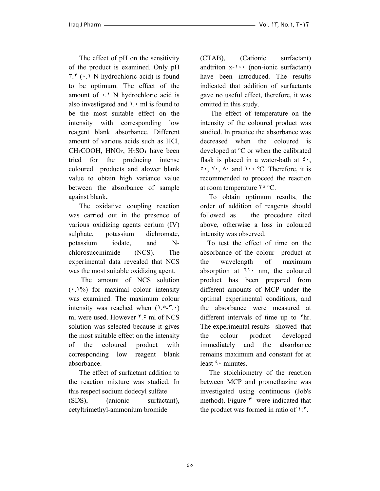The effect of pH on the sensitivity of the product is examined. Only pH  $\mathbf{r} \cdot \mathbf{r}$  ( $\cdot \cdot$  N hydrochloric acid) is found to be optimum. The effect of the amount of  $\cdot$ . N hydrochloric acid is also investigated and  $\lambda$ .  $\cdot$  ml is found to be the most suitable effect on the intensity with corresponding low reagent blank absorbance. Different amount of various acids such as HCl,  $CHrCOOH$ ,  $HNOr$ ,  $HrSOf$  have been tried for the producing intense coloured products and alower blank value to obtain high variance value between the absorbance of sample against blank**.** 

 The oxidative coupling reaction was carried out in the presence of various oxidizing agents cerium (IV) sulphate, potassium dichromate, potassium iodate, and Nchlorosuccinimide (NCS). The experimental data revealed that NCS was the most suitable oxidizing agent.

 The amount of NCS solution (٠.١%) for maximal colour intensity was examined. The maximum colour intensity was reached when  $(1.2 - T.1)$ ml were used. However ٢.٥ ml of NCS solution was selected because it gives the most suitable effect on the intensity of the coloured product with corresponding low reagent blank absorbance.

 The effect of surfactant addition to the reaction mixture was studied. In this respect sodium dodecyl sulfate (SDS), (anionic surfactant), cetyltrimethyl-ammonium bromide

(CTAB), (Cationic surfactant) andtriton  $x$ - $\cdots$  (non-ionic surfactant) have been introduced. The results indicated that addition of surfactants gave no useful effect, therefore, it was omitted in this study.

 The effect of temperature on the intensity of the coloured product was studied. In practice the absorbance was decreased when the coloured is developed at ºC or when the calibrated flask is placed in a water-bath at  $\mathfrak{c}_{\cdot}$ , ٥٠, ٧٠, ٨٠ and ١٠٠ ºC. Therefore, it is recommended to proceed the reaction at room temperature  $\gamma \circ \text{C}$ .

 To obtain optimum results, the order of addition of reagents should followed as the procedure cited above, otherwise a loss in coloured intensity was observed.

 To test the effect of time on the absorbance of the colour product at the wavelength of maximum absorption at ٦١٠ nm, the coloured product has been prepared from different amounts of MCP under the optimal experimental conditions, and the absorbance were measured at different intervals of time up to  $\gamma$ hr. The experimental results showed that the colour product developed immediately and the absorbance remains maximum and constant for at least ٩٠ minutes.

 The stoichiometry of the reaction between MCP and promethazine was investigated using continuous (Job's method). Figure  $\mathbf{r}$  were indicated that the product was formed in ratio of ١:٢.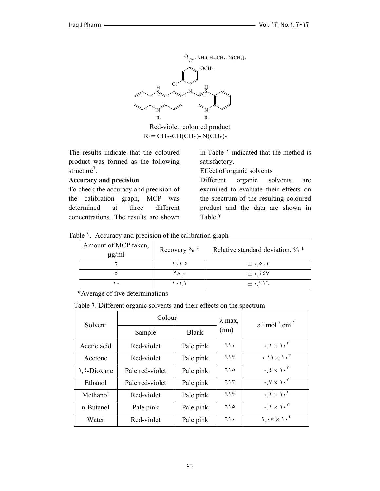

Red-violet coloured product  $R_1$  = CH<sub>Y</sub>-CH(CH<sub>r</sub>)- N(CH<sub>r</sub>)<sub>Y</sub>

The results indicate that the coloured product was formed as the following structure<sup>7</sup>.

#### **Accuracy and precision**

To check the accuracy and precision of the calibration graph, MCP was determined at three different concentrations. The results are shown

in Table  $\lambda$  indicated that the method is satisfactory.

Effect of organic solvents

Different organic solvents are examined to evaluate their effects on the spectrum of the resulting coloured product and the data are shown in Table ٢.

|  |  | Table 1. Accuracy and precision of the calibration graph |  |
|--|--|----------------------------------------------------------|--|
|  |  |                                                          |  |

| Amount of MCP taken,<br>$\mu$ g/ml | Recovery $\%$ *     | Relative standard deviation, $\%$ *            |
|------------------------------------|---------------------|------------------------------------------------|
|                                    | $\cdot \cdot \circ$ | $\pm \cdot \circ \cdot \epsilon$               |
| ٥                                  | ۹۸۰                 | $\pm$ $\cdot$ 228 $\vee$                       |
|                                    |                     | $\pm$ $\cdot$ $\mathsf{r}\mathsf{1}\mathsf{7}$ |

\*Average of five determinations

Table <sup>Y</sup>. Different organic solvents and their effects on the spectrum

| Solvent                   | Colour          |              | $\lambda$ max, | $\epsilon$ l.mol <sup>-1</sup> .cm <sup>-1</sup>                 |
|---------------------------|-----------------|--------------|----------------|------------------------------------------------------------------|
|                           | Sample          | <b>Blank</b> | (nm)           |                                                                  |
| Acetic acid               | Red-violet      | Pale pink    | ٦١.            | $\cdot \cdot$ $\cdot$ $\cdot$ $\cdot$ $\cdot$ $\cdot$            |
| Acetone                   | Red-violet      | Pale pink    | 715            | $\cdot$ 11 $\times$ 1. <sup>r</sup>                              |
| $\frac{1}{2}$ . E-Dioxane | Pale red-violet | Pale pink    | 710            | $\cdot$ $\xi \times 1 \cdot$ <sup>r</sup>                        |
| Ethanol                   | Pale red-violet | Pale pink    | ٦١٣            | $\cdot$ Y $\times$ 1. <sup>5</sup>                               |
| Methanol                  | Red-violet      | Pale pink    | ٦١٣            | $\cdot$ $\cdot$ $\cdot$ $\cdot$ $\cdot$ $\cdot$ $\cdot$          |
| n-Butanol                 | Pale pink       | Pale pink    | 710            | $\cdot \Delta \times \Delta \cdot$                               |
| Water                     | Red-violet      | Pale pink    | ٦١.            | $\mathbf{Y} \cdot \mathbf{0} \times \mathbf{1} \cdot \mathbf{1}$ |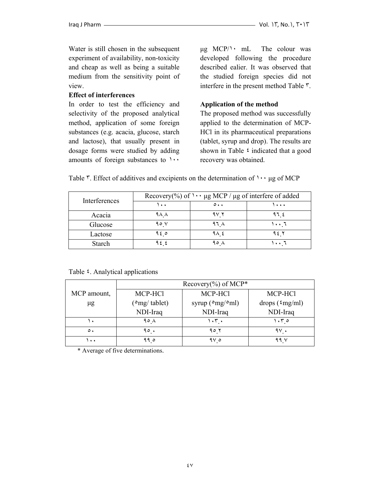Water is still chosen in the subsequent experiment of availability, non-toxicity and cheap as well as being a suitable medium from the sensitivity point of view.

#### **Effect of interferences**

In order to test the efficiency and selectivity of the proposed analytical method, application of some foreign substances (e.g. acacia, glucose, starch and lactose), that usually present in dosage forms were studied by adding amounts of foreign substances to ١٠٠

µg MCP/١٠ mL The colour was developed following the procedure described ealier. It was observed that the studied foreign species did not interfere in the present method Table ٣.

#### **Application of the method**

The proposed method was successfully applied to the determination of MCP-HCl in its pharmaceutical preparations (tablet, syrup and drop). The results are shown in Table  $\frac{1}{2}$  indicated that a good recovery was obtained.

| Interferences | Recovery(%) of $\cdots$ µg MCP / µg of interfere of added |                     |       |
|---------------|-----------------------------------------------------------|---------------------|-------|
|               | ۰۰۱                                                       | $\circ \cdot \cdot$ | 1     |
| Acacia        | 9 A A                                                     | 97 Y                | ९५ ६  |
| Glucose       | 90 V                                                      | ۹٦٨                 | ۱۰۰ ٦ |
| Lactose       | ه ۹٤                                                      | ۹۸ ٤                | ۹٤ ۲  |
| Starch        | 922                                                       | $90 \lambda$        | ۱۰۰ ۱ |

Table  $\overline{r}$ . Effect of additives and excipients on the determination of  $\cdots$  ug of MCP

Table  $\epsilon$ . Analytical applications

|                      | Recovery $(\%)$ of MCP* |                                     |                          |
|----------------------|-------------------------|-------------------------------------|--------------------------|
| MCP amount,          | MCP-HCl                 | MCP-HCl                             | MCP-HCl                  |
| $\mu$ g              | $\epsilon$ mg/ tablet)  | syrup ( $\degree$ mg/ $\degree$ ml) | drops $({\text{mg}}/m!)$ |
|                      | NDI-Iraq                | NDI-Iraq                            | NDI-Iraq                 |
|                      | ۹۰ ۸                    | $1.5$ $\sim$ $\sim$                 | ۱۰۳ ه                    |
| $\circ$ .            | 90.                     | 90 7                                | ۹۷ .                     |
| $\ddot{\phantom{1}}$ | 990                     | 97 o                                | 99 V                     |

\* Average of five determinations.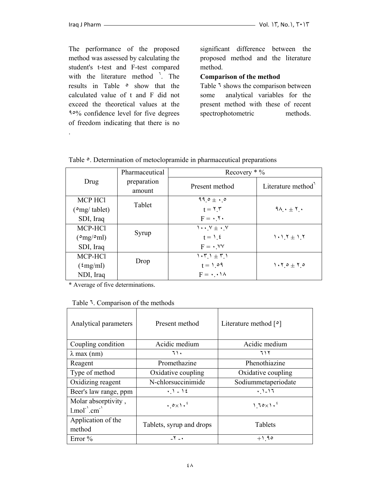.

The performance of the proposed method was assessed by calculating the student's t-test and F-test compared with the literature method <sup>1</sup>. The results in Table ٥ show that the calculated value of t and F did not exceed the theoretical values at the ٩٥% confidence level for five degrees of freedom indicating that there is no

significant difference between the proposed method and the literature method.

#### **Comparison of the method**

Table ٦ shows the comparison between some analytical variables for the present method with these of recent spectrophotometric methods.

|                               | Pharmaceutical | Recovery $*$ %                       |                         |
|-------------------------------|----------------|--------------------------------------|-------------------------|
| Drug                          | preparation    | Present method                       | Literature method       |
|                               | amount         |                                      |                         |
| <b>MCP HCl</b>                | Tablet         | $99.0 + .0$                          |                         |
| $({}^{\circ}$ mg/ tablet)     |                | $t = \Upsilon \Upsilon$              | $9\wedge \cdot \pm 7$ . |
| SDI, Iraq                     |                | $F = \cdot 7 \cdot$                  |                         |
| MCP-HCl                       |                | $\cdots$ $V \pm \cdots V$            |                         |
| $({}^{\circ}mg/{}^{\circ}ml)$ | Syrup          | $t = \lambda$ , $\epsilon$           | $1 \cdot 1.7 \pm 1.7$   |
| SDI, Iraq                     |                | $F = \cdot$ . $VV$                   |                         |
| MCP-HCl                       |                | $1.71 \pm 7.1$                       |                         |
| $({\rm \frac{\epsilon}{m}})$  | Drop           | $t = 1.09$                           | $1.70 \pm 7.0$          |
| NDI, Iraq                     |                | $F = \cdot \cdot \cdot \cdot \wedge$ |                         |

Table  $\circ$ . Determination of metoclopramide in pharmaceutical preparations

\* Average of five determinations.

| Analytical parameters                                                                             | Present method              | Literature method $\lceil \circ \rceil$ |
|---------------------------------------------------------------------------------------------------|-----------------------------|-----------------------------------------|
| Coupling condition                                                                                | Acidic medium               | Acidic medium                           |
| $\lambda$ max (nm)                                                                                | ٦١.                         | ٦١٢                                     |
| Reagent                                                                                           | Promethazine                | Phenothiazine                           |
| Type of method                                                                                    | Oxidative coupling          | Oxidative coupling                      |
| Oxidizing reagent                                                                                 | N-chlorsuccinimide          | Sodiummetaperiodate                     |
| Beer's law range, ppm                                                                             | $.1 - 12$                   | $.1 - 17$                               |
| Molar absorptivity,<br>$1$ .mol <sup>-<math>\cdot</math></sup> .cm <sup>-<math>\cdot</math></sup> | $.0 \times 1.$ <sup>2</sup> | $1.70 \times 1.$ <sup>2</sup>           |
| Application of the<br>method                                                                      | Tablets, syrup and drops    | <b>Tablets</b>                          |
| Error $%$                                                                                         | $Y - Y$                     | $+1.90$                                 |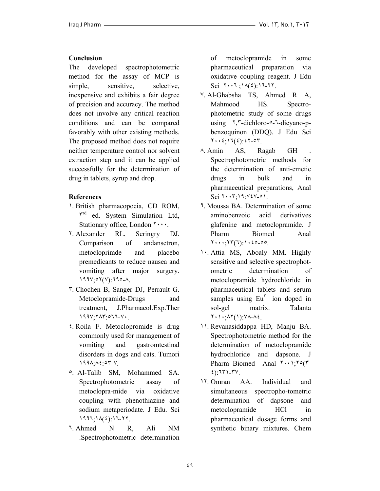#### **Conclusion**

The developed spectrophotometric method for the assay of MCP is simple, sensitive, selective, inexpensive and exhibits a fair degree of precision and accuracy. The method does not involve any critical reaction conditions and can be compared favorably with other existing methods. The proposed method does not require neither temperature control nor solvent extraction step and it can be applied successfully for the determination of drug in tablets, syrup and drop.

#### **References**

- ١. British pharmacopoeia, CD ROM,  $\mathbf{r}^{\text{rd}}$  ed. System Simulation Ltd, Stationary office, London  $\mathbf{y} \cdots$ .
- ٢. Alexander RL, Seringry DJ. Comparison of andansetron, metocloprimde and placebo premedicants to reduce nausea and vomiting after major surgery. ١٩٩٧;٥٢(٧):٦٩٥-٨.
- ٣. Chochen B, Sanger DJ, Perrault G. Metoclopramide-Drugs and treatment, J.Pharmacol.Exp.Ther ١٩٩٧;٢٨٣:٥٦٦-٧٠.
- ٤. Roila F. Metoclopromide is drug commonly used for management of vomiting and gastromtestinal disorders in dogs and cats. Tumori ١٩٩٨;٨٤:٥٣-٧.
- ٥. Al-Talib SM, Mohammed SA. Spectrophotometric assay of metoclopra-mide via oxidative coupling with phenothiazine and sodium metaperiodate. J Edu. Sci ١٩٩٦;١٨(٤):١٦-٢٢.
- ٦. Ahmed N R, Ali NM .Spectrophotometric determination

of metoclopramide in some pharmaceutical preparation via oxidative coupling reagent. J Edu Sci  $Y \cdot Y \cdot Y \cdot (X(\xi)) Y \cdot Y \cdot Y$ .

- ٧. Al-Ghabsha TS, Ahmed R A, Mahmood HS. Spectrophotometric study of some drugs using  $\frac{1}{2}$ ,  $\frac{1}{2}$ -dichloro- $\frac{1}{2}$ -dicyano-pbenzoquinon (DDQ). J Edu Sci ٢٠٠٤;١٦(٤):٤٢-٥٣.
- ٨. Amin AS, Ragab GH . Spectrophotometric methods for the determination of anti-emetic drugs in bulk and in pharmaceutical preparations, Anal  $Sci$   $Y \cdot Y:19:Y \cdot Y \cdot 0$ .
- ٩. Moussa BA. Determination of some aminobenzoic acid derivatives glafenine and metoclopramide. J Pharm Biomed Anal ٢٠٠٠;٢٣(٦):١٠٤٥-٥٥.
- ١٠. Attia MS, Aboaly MM. Highly sensitive and selective spectrophotometric determination of metoclopramide hydrochloride in pharmaceutical tablets and serum samples using  $Eu^{\tau+}$  ion doped in sol-gel matrix. Talanta ٢٠١٠;٨٢(١):٧٨-٨٤.
- ١١. Revanasiddappa HD, Manju BA. Spectrophotometric method for the determination of metoclopramide hydrochloride and dapsone. J Pharm Biomed Anal ٢٠٠١;٢٥(٣- ٤):٦٣١-٣٧.
- ١٢. Omran AA. Individual and simultaneous spectropho-tometric determination of dapsone and metoclopramide HCl in pharmaceutical dosage forms and synthetic binary mixtures. Chem